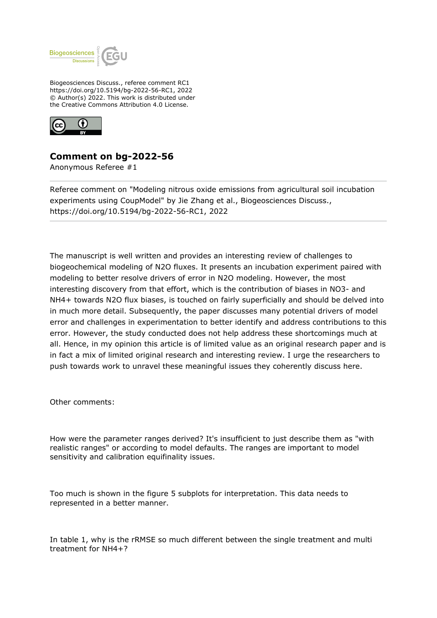

Biogeosciences Discuss., referee comment RC1 https://doi.org/10.5194/bg-2022-56-RC1, 2022 © Author(s) 2022. This work is distributed under the Creative Commons Attribution 4.0 License.



## **Comment on bg-2022-56**

Anonymous Referee #1

Referee comment on "Modeling nitrous oxide emissions from agricultural soil incubation experiments using CoupModel" by Jie Zhang et al., Biogeosciences Discuss., https://doi.org/10.5194/bg-2022-56-RC1, 2022

The manuscript is well written and provides an interesting review of challenges to biogeochemical modeling of N2O fluxes. It presents an incubation experiment paired with modeling to better resolve drivers of error in N2O modeling. However, the most interesting discovery from that effort, which is the contribution of biases in NO3- and NH4+ towards N2O flux biases, is touched on fairly superficially and should be delved into in much more detail. Subsequently, the paper discusses many potential drivers of model error and challenges in experimentation to better identify and address contributions to this error. However, the study conducted does not help address these shortcomings much at all. Hence, in my opinion this article is of limited value as an original research paper and is in fact a mix of limited original research and interesting review. I urge the researchers to push towards work to unravel these meaningful issues they coherently discuss here.

Other comments:

How were the parameter ranges derived? It's insufficient to just describe them as "with realistic ranges" or according to model defaults. The ranges are important to model sensitivity and calibration equifinality issues.

Too much is shown in the figure 5 subplots for interpretation. This data needs to represented in a better manner.

In table 1, why is the rRMSE so much different between the single treatment and multi treatment for NH4+?